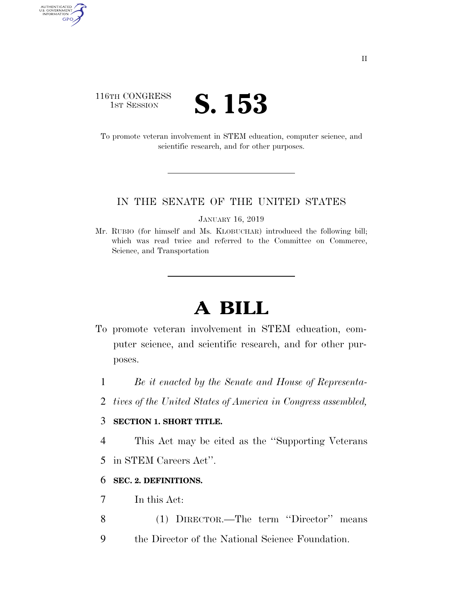### 116TH CONGRESS **IST SESSION S. 153**

AUTHENTICATED<br>U.S. GOVERNMENT<br>INFORMATION GPO

> To promote veteran involvement in STEM education, computer science, and scientific research, and for other purposes.

#### IN THE SENATE OF THE UNITED STATES

JANUARY 16, 2019

Mr. RUBIO (for himself and Ms. KLOBUCHAR) introduced the following bill; which was read twice and referred to the Committee on Commerce, Science, and Transportation

# **A BILL**

- To promote veteran involvement in STEM education, computer science, and scientific research, and for other purposes.
	- 1 *Be it enacted by the Senate and House of Representa-*
	- 2 *tives of the United States of America in Congress assembled,*

#### 3 **SECTION 1. SHORT TITLE.**

4 This Act may be cited as the ''Supporting Veterans

5 in STEM Careers Act''.

#### 6 **SEC. 2. DEFINITIONS.**

- 7 In this Act:
- 8 (1) DIRECTOR.—The term ''Director'' means
- 9 the Director of the National Science Foundation.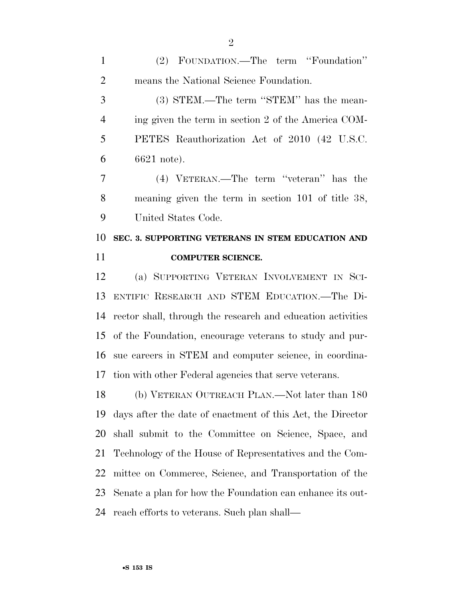(2) FOUNDATION.—The term ''Foundation'' means the National Science Foundation.

 (3) STEM.—The term ''STEM'' has the mean- ing given the term in section 2 of the America COM- PETES Reauthorization Act of 2010 (42 U.S.C. 6621 note).

 (4) VETERAN.—The term ''veteran'' has the meaning given the term in section 101 of title 38, United States Code.

## **SEC. 3. SUPPORTING VETERANS IN STEM EDUCATION AND COMPUTER SCIENCE.**

 (a) SUPPORTING VETERAN INVOLVEMENT IN SCI- ENTIFIC RESEARCH AND STEM EDUCATION.—The Di- rector shall, through the research and education activities of the Foundation, encourage veterans to study and pur- sue careers in STEM and computer science, in coordina-tion with other Federal agencies that serve veterans.

 (b) VETERAN OUTREACH PLAN.—Not later than 180 days after the date of enactment of this Act, the Director shall submit to the Committee on Science, Space, and Technology of the House of Representatives and the Com- mittee on Commerce, Science, and Transportation of the Senate a plan for how the Foundation can enhance its out-reach efforts to veterans. Such plan shall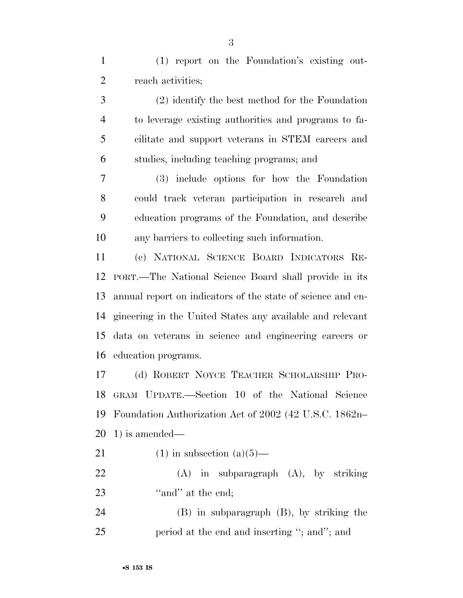(1) report on the Foundation's existing out-reach activities;

 (2) identify the best method for the Foundation to leverage existing authorities and programs to fa- cilitate and support veterans in STEM careers and studies, including teaching programs; and

 (3) include options for how the Foundation could track veteran participation in research and education programs of the Foundation, and describe any barriers to collecting such information.

 (c) NATIONAL SCIENCE BOARD INDICATORS RE- PORT.—The National Science Board shall provide in its annual report on indicators of the state of science and en- gineering in the United States any available and relevant data on veterans in science and engineering careers or education programs.

 (d) ROBERT NOYCE TEACHER SCHOLARSHIP PRO- GRAM UPDATE.—Section 10 of the National Science Foundation Authorization Act of 2002 (42 U.S.C. 1862n– 1) is amended—

- 21 (1) in subsection  $(a)(5)$ —
- (A) in subparagraph (A), by striking 23 "and" at the end;

 (B) in subparagraph (B), by striking the 25 period at the end and inserting "; and"; and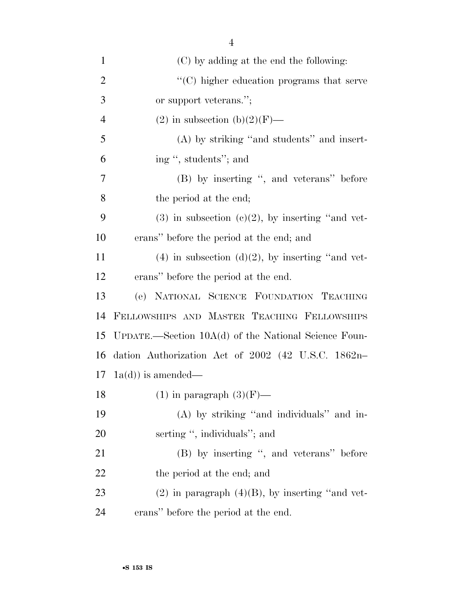| $\mathbf{1}$   | (C) by adding at the end the following:                |
|----------------|--------------------------------------------------------|
| $\overline{2}$ | $\cdot$ (C) higher education programs that serve       |
| 3              | or support veterans.";                                 |
| $\overline{4}$ | (2) in subsection (b)(2)(F)—                           |
| 5              | (A) by striking "and students" and insert-             |
| 6              | ing ", students"; and                                  |
| $\tau$         | (B) by inserting ", and veterans" before               |
| 8              | the period at the end;                                 |
| 9              | $(3)$ in subsection $(e)(2)$ , by inserting "and vet-  |
| 10             | erans" before the period at the end; and               |
| 11             | $(4)$ in subsection $(d)(2)$ , by inserting "and vet-  |
| 12             | erans" before the period at the end.                   |
| 13             | (e) NATIONAL SCIENCE FOUNDATION TEACHING               |
| 14             | FELLOWSHIPS AND MASTER TEACHING FELLOWSHIPS            |
| 15             | UPDATE.—Section $10A(d)$ of the National Science Foun- |
| 16             | dation Authorization Act of 2002 (42 U.S.C. 1862n-     |
| 17             | $(a(d))$ is amended—                                   |
| 18             | $(1)$ in paragraph $(3)(F)$ —                          |
| 19             | (A) by striking "and individuals" and in-              |
| 20             | serting ", individuals"; and                           |
| 21             | (B) by inserting ", and veterans" before               |
| 22             | the period at the end; and                             |
| 23             | $(2)$ in paragraph $(4)(B)$ , by inserting "and vet-   |
| $2\pi$         | orang" hoforo the period at the end                    |

24 erans'' before the period at the end.

4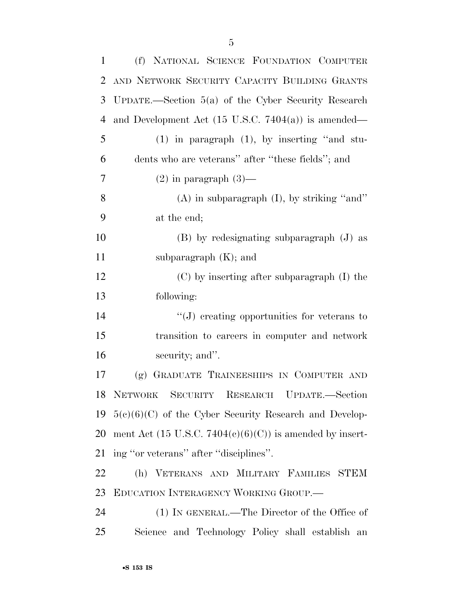| $\mathbf{1}$   | (f) NATIONAL SCIENCE FOUNDATION COMPUTER                       |
|----------------|----------------------------------------------------------------|
| 2              | AND NETWORK SECURITY CAPACITY BUILDING GRANTS                  |
| 3              | UPDATE.—Section $5(a)$ of the Cyber Security Research          |
| $\overline{4}$ | and Development Act $(15 \text{ U.S.C. } 7404(a))$ is amended— |
| 5              | $(1)$ in paragraph $(1)$ , by inserting "and stu-              |
| 6              | dents who are veterans" after "these fields"; and              |
| 7              | $(2)$ in paragraph $(3)$ —                                     |
| 8              | $(A)$ in subparagraph $(I)$ , by striking "and"                |
| 9              | at the end;                                                    |
| 10             | $(B)$ by redesignating subparagraph $(J)$ as                   |
| 11             | subparagraph $(K)$ ; and                                       |
| 12             | (C) by inserting after subparagraph (I) the                    |
| 13             | following:                                                     |
| 14             | $\lq\lq(J)$ creating opportunities for veterans to             |
| 15             | transition to careers in computer and network                  |
| 16             | security; and".                                                |
| 17             | GRADUATE TRAINEESHIPS IN COMPUTER AND<br>(g)                   |
|                | 18 NETWORK SECURITY RESEARCH UPDATE.-Section                   |
| 19             | $5(e)(6)(C)$ of the Cyber Security Research and Develop-       |
| 20             | ment Act (15 U.S.C. 7404(c)(6)(C)) is amended by insert-       |
| 21             | ing "or veterans" after "disciplines".                         |
| 22             | (h) VETERANS AND MILITARY FAMILIES STEM                        |
| 23             | EDUCATION INTERAGENCY WORKING GROUP.                           |
| 24             | (1) IN GENERAL.—The Director of the Office of                  |
| 25             | Science and Technology Policy shall establish an               |
|                |                                                                |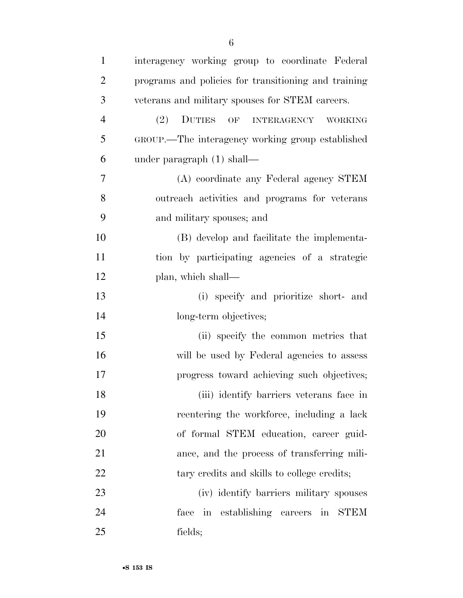| $\mathbf{1}$   | interagency working group to coordinate Federal      |
|----------------|------------------------------------------------------|
| $\overline{2}$ | programs and policies for transitioning and training |
| 3              | veterans and military spouses for STEM careers.      |
| $\overline{4}$ | DUTIES OF INTERAGENCY<br>(2)<br>WORKING              |
| 5              | GROUP.—The interagency working group established     |
| 6              | under paragraph $(1)$ shall—                         |
| 7              | (A) coordinate any Federal agency STEM               |
| 8              | outreach activities and programs for veterans        |
| 9              | and military spouses; and                            |
| 10             | (B) develop and facilitate the implementa-           |
| 11             | tion by participating agencies of a strategic        |
| 12             | plan, which shall—                                   |
| 13             | (i) specify and prioritize short- and                |
| 14             | long-term objectives;                                |
| 15             | (ii) specify the common metrics that                 |
| 16             | will be used by Federal agencies to assess           |
| 17             | progress toward achieving such objectives;           |
| 18             | (iii) identify barriers veterans face in             |
| 19             | reentering the workforce, including a lack           |
| 20             | of formal STEM education, career guid-               |
| 21             | ance, and the process of transferring mili-          |
| 22             | tary credits and skills to college credits;          |
| 23             | (iv) identify barriers military spouses              |
| 24             | in establishing careers in STEM<br>face              |
| 25             | fields;                                              |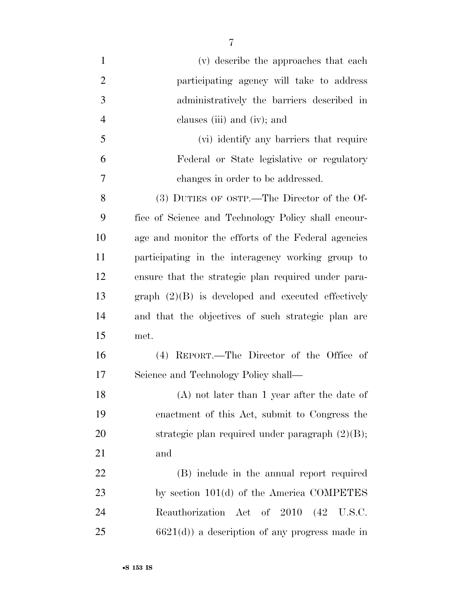(v) describe the approaches that each participating agency will take to address administratively the barriers described in clauses (iii) and (iv); and (vi) identify any barriers that require Federal or State legislative or regulatory changes in order to be addressed. (3) DUTIES OF OSTP.—The Director of the Of- fice of Science and Technology Policy shall encour- age and monitor the efforts of the Federal agencies participating in the interagency working group to ensure that the strategic plan required under para- graph (2)(B) is developed and executed effectively and that the objectives of such strategic plan are met. (4) REPORT.—The Director of the Office of Science and Technology Policy shall— (A) not later than 1 year after the date of enactment of this Act, submit to Congress the 20 strategic plan required under paragraph  $(2)(B)$ ; and (B) include in the annual report required 23 by section 101(d) of the America COMPETES Reauthorization Act of 2010 (42 U.S.C. 6621(d)) a description of any progress made in